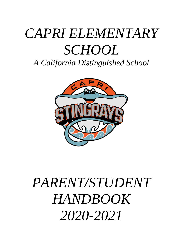# *CAPRI ELEMENTARY SCHOOL*

*A California Distinguished School*



# *PARENT/STUDENT HANDBOOK 2020-2021*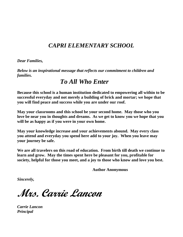# *CAPRI ELEMENTARY SCHOOL*

*Dear Families,*

*Below is an inspirational message that reflects our commitment to children and families.*

# *To All Who Enter*

**Because this school is a human institution dedicated to empowering all within to be successful everyday and not merely a building of brick and mortar; we hope that you will find peace and success while you are under our roof.**

**May your classrooms and this school be your second home. May those who you love be near you in thoughts and dreams. As we get to know you we hope that you will be as happy as if you were in your own home.**

**May your knowledge increase and your achievements abound. May every class you attend and everyday you spend here add to your joy. When you leave may your journey be safe.**

**We are all travelers on this road of education. From birth till death we continue to learn and grow. May the times spent here be pleasant for you, profitable for society, helpful for those you meet, and a joy to those who know and love you best.** 

**Author Anonymous**

*Sincerely,*

**Mrs. Carrie Lancon**

*Carrie Lancon Principal*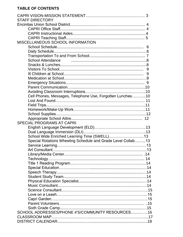# **TABLE OF CONTENTS**

| <b>STAFF DIRECTORY</b>                                       |  |
|--------------------------------------------------------------|--|
|                                                              |  |
|                                                              |  |
|                                                              |  |
|                                                              |  |
| MISCELLANEOUS SCHOOL INFORMATION                             |  |
|                                                              |  |
|                                                              |  |
|                                                              |  |
| <b>School Attendance</b>                                     |  |
|                                                              |  |
| 9                                                            |  |
|                                                              |  |
|                                                              |  |
|                                                              |  |
|                                                              |  |
|                                                              |  |
| Cell Phones, Messages, Telephone Use, Forgotten Lunches10    |  |
|                                                              |  |
|                                                              |  |
|                                                              |  |
|                                                              |  |
|                                                              |  |
| <b>SPECIAL PROGRAMS AT CAPRI</b>                             |  |
|                                                              |  |
|                                                              |  |
| School Wide Enriched Learning Time (SWELL)13                 |  |
| Special Rotations Wheeling Schedule and Grade Level Collab13 |  |
|                                                              |  |
|                                                              |  |
|                                                              |  |
|                                                              |  |
|                                                              |  |
|                                                              |  |
|                                                              |  |
|                                                              |  |
|                                                              |  |
|                                                              |  |
|                                                              |  |
|                                                              |  |
|                                                              |  |
|                                                              |  |
|                                                              |  |
| SCHOOL ADDRESSES/PHONE #'S/COMMUNITY RESOURCES16             |  |
|                                                              |  |
|                                                              |  |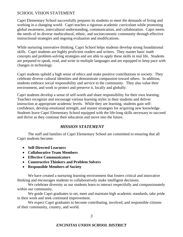#### SCHOOL VISION STATEMENT

Capri Elementary School successfully prepares its students to meet the demands of living and working in a changing world. Capri teaches a rigorous academic curriculum while promoting global awareness, intercultural understanding, communication, and collaboration. Capri meets the needs of its diverse multicultural, ethnic, and socioeconomic community through effective instructional strategies and ongoing evaluation and modifications.

While nurturing innovative thinking, Capri School helps students develop strong foundational skills. Capri students are highly proficient readers and writers. They master basic math concepts and problem-solving strategies and are able to apply these skills in real life. Students are prepared to speak, read, and write in multiple languages and are equipped to keep pace with changes in technology.

Capri students uphold a high sense of ethics and make positive contributions to society. They celebrate diverse cultural identities and demonstrate compassion toward others. In addition, students embrace social responsibility and service to the community. They also value their environment, and work to protect and preserve it, locally and globally.

Capri students develop a sense of self-worth and share responsibility for their own learning. Teachers recognize and encourage various learning styles in their students and deliver instruction at appropriate academic levels. While they are learning, students gain selfconfidence, develop emotional strength, and master strategies for acquiring new knowledge. Students leave Capri Elementary School equipped with the life-long skills necessary to succeed and thrive as they continue their education and move into the future.

#### *MISSION STATEMENT*

The staff and families of Capri Elementary School are committed to ensuring that all Capri students become:

- **Self-Directed Learners**
- **Collaborative Team Members**
- **Effective Communicators**
- **Constructive Thinkers and Problem Solvers**
- **Responsible Members of Society**

We have created a nurturing learning environment that fosters critical and innovative thinking and encourages students to collaboratively make intelligent decisions.

We celebrate diversity as our students learn to interact respectfully and compassionately within our community.

We guide Capri graduates to set, meet and maintain high academic standards, take pride in their work and seek continued improvement.

We expect Capri graduates to become contributing, involved, and responsible citizens of their community, country, and world.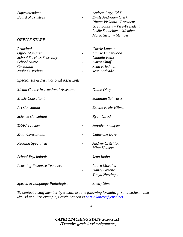*Superintendent - Andree Grey, Ed.D. Board of Trustees - Emily Andrade– Clerk*

#### *OFFICE STAFF*

| Principal                        |                          | Carrie Lancon    |
|----------------------------------|--------------------------|------------------|
| Office Manager                   | $\overline{\phantom{a}}$ | Laurie Underwood |
| <b>School Services Secretary</b> | $\sim$ $-$               | Claudia Felix    |
| <b>School Nurse</b>              | $\sim$ $-$               | Karen Shuff      |
| Custodian                        | $\overline{\phantom{0}}$ | Sean Friedman    |
| Night Custodian                  |                          | Jose Andrade     |

*Rimga Viskanta –President Greg Sonken – Vice-President Leslie Schneider – Member Marla Strich - Member*

#### *Specialists & Instructional Assistants*

| Media Center Instructional Assistant | Diane Okey                                       |
|--------------------------------------|--------------------------------------------------|
| <b>Music Consultant</b>              | Jonathan Schwartz                                |
| <b>Art Consultant</b>                | Estelle Praly-Hilmen                             |
| Science Consultant                   | Ryan Girod                                       |
| <b>TRAC</b> Teacher                  | Jennifer Wampler                                 |
| <b>Math Consultants</b>              | Catherine Bove                                   |
| <b>Reading Specialists</b>           | <b>Audrey Critchlow</b><br>Mina Hudson           |
| School Psychologist                  | Jenn Inaba                                       |
| <b>Learning Resource Teachers</b>    | Laura Morales<br>Nancy Greene<br>Tonya Herringer |
| Speech & Language Pathologist        | <b>Shelly Sims</b>                               |

*To contact a staff member by e-mail, use the following formula: first name.last name @eusd.net. For example, Carrie Lancon is [carrie.lancon@eusd.net](mailto:carrie.lancon@eusd.net)*

*4*

#### *CAPRI TEACHING STAFF 2020-2021 (Tentative grade level assignments)*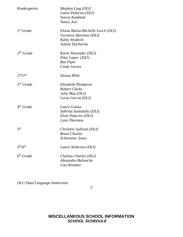| Kindergarten                     | Meghan Ling (DLI)<br>Laura Palacios (DLI)<br><b>Stacey Kaufman</b><br>Nancy Jois                 |
|----------------------------------|--------------------------------------------------------------------------------------------------|
| $1st$ Grade                      | Eloisa Bulow/Michelle Lorch (DLI)<br>Veronica Martinez (DLI)<br>Kaley Wodecki<br>Julann Ducharme |
| $2^{nd}$ Grade                   | Karin Alexander (DLI)<br>Pilar Lopez (DLI)<br><b>Bea Piper</b><br>Cindy Larsen                   |
| 2 <sup>nd</sup> /3 <sup>rd</sup> | Donna Mills                                                                                      |
| $3^{rd}$ Grade                   | Elizabeth Thompson<br>Robert Clarke<br>Julia May (DLI)<br>Lucia Garcia (DLI)                     |
| $4th$ Grade                      | Lance Gomez<br>Sabrina Santolalla (DLI)<br>Elvia Palacios (DLI)<br>Lynn Thornton                 |
| 5 <sup>th</sup>                  | Christine Sullivan (DLI)<br><b>Brian Charles</b><br><i><b>Scharonne Jones</b></i>                |
| 5 <sup>th</sup> /6 <sup>th</sup> | Laura Anderson (DLI)                                                                             |
| $6th$ Grade                      | Chelsea Charles (DLI)<br>Alexandra Bulisache<br>Lisa Wootten                                     |

*DLI=Dual Language Immersion*

*5*

## **MISCELLANEOUS SCHOOL INFORMATION** *SCHOOL SCHEDULE*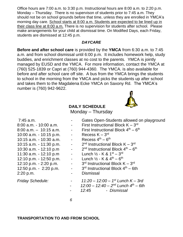Office hours are 7:00 a.m. to 3:30 p.m. Instructional hours are 8:00 a.m. to 2:20 p.m. Monday – Thursday. There is no supervison of students prior to 7:45 a.m. They should not be on school grounds before that time, unless they are enrolled in YMCA's morning day care. School starts at 8:00 a.m. Students are expected to be lined up in their class line at 8:00 a.m. There is no supervision for students after school. Please make arrangements for your child at dismissal time. On Modified Days, each Friday, students are dismissed at 12:45 p.m.

#### *DAYCARE*

**Before and after school care** is provided by the **YMCA** from 6:30 a.m. to 7:45 a.m. and from school dismissal until 6:00 p.m. It includes homework help, study buddies, and enrichment classes at no cost to the parents. YMCA is jointly managed by EUSD and the YMCA. For more information, contact the YMCA at (760) 525-1839 or Capri at (760) 944-4360. The YMCA. is also available for before and after school care off site. A bus from the YMCA brings the students to school in the morning from the YMCA and picks the students up after school and takes them to the Magdalena Ecke YMCA on Saxony Rd. The YMCA's number is (760) 942-9622.

### **DAILY SCHEDULE**

Monday – Thursday

10:00 a.m. - 10:15 p.m. - $10:15$  a.m.  $-10:30$  a.m.  $10:15$  a.m.  $-11:30$  p.m.  $10:30$  a.m.  $-12:10$  p.m  $11:30$  a.m. - 12:10 p.m –  $12:10 \text{ p.m.} - 12:50 \text{ p.m.}$  - $12:10 \text{ p.m.} - 2:20 \text{ p.m.}$  - $12:50$  p.m.  $-2:20$  p.m.  $-$ 2:20 p.m. - Dismissal

*Friday Schedule: - 11:20 – 12:00 – 1*

- Gates Open-Students allowed on playground
- 8:00 a.m. 10:00 a.m.  $\qquad \qquad$  First Instructional Block  $K 3^{rd}$
- 8:00 a.m.  $-10:15$  a.m.  $-$  First Instructional Block  $4<sup>th</sup> 6<sup>th</sup>$ 
	- rd
	- th
		- <sup>nd</sup> Instructional Block K 3<sup>rd</sup>
		- <sup>nd</sup> Instructional Block 4<sup>th</sup> 6<sup>th</sup>
		- rd
	- $\mathsf{^{th}-6^{th}}$
	- <sup>rd</sup> Instructional Block K 3<sup>rd</sup>
	- $3<sup>rd</sup>$  Instructional Block  $4<sup>th</sup> 6th$
	-
	- *st Lunch K – 3rd*
	- *12:00 – 12:40 – 2 nd Lunch 4 th – 6th*
	- *12:45 Dismissal*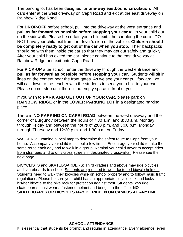The parking lot has been designed for **one-way eastbound circulation.** All cars enter at the west driveway on Capri Road and exit at the east driveway on Rainbow Ridge Road.

For **DROP-OFF** before school, pull into the driveway at the west entrance and **pull as far forward as possible before stopping your car** to let your child out on the sidewalk. Please be certain your child exits the car along the curb. DO NOT have your child exit from the driver's side of the vehicle. **Children should be completely ready to get out of the car when you stop.** Their backpacks should be with them inside the car so that they may get out safely and quickly. After your child has exited the car, please continue to the east driveway at Rainbow Ridge and exit onto Capri Road.

For **PICK-UP** after school, enter the driveway through the west entrance and **pull as far forward as possible before stopping your car**. Students will sit in lines on the cement near the front gates. As we see your car pull forward, we will call down to the teacher with the students to send your child to your car. Please do not stop until there is no empty space in front of you.

If you wish to **PARK AND GET OUT OF YOUR CAR,** please park on **RAINBOW RIDGE** or in the **LOWER PARKING LOT** in a designated parking place.

There is **NO PARKING ON CAPRI ROAD** between the west driveway and the corner of Burgundy between the hours of 7:30 a.m. and 8:30 a.m. Monday through Friday and between the hours of 2:00 p.m. and 3:00 p.m. Monday through Thursday and 12:30 p.m. and 1:30 p.m. on Friday.

WALKERS: Examine a local map to determine the safest route to Capri from your home. Accompany your child to school a few times. Encourage your child to take the same route each day and to walk in a group. Remind your child never to accept rides from strangers and to only cross streets in designated crosswalks. Please see the next page.

BICYCLISTS and SKATEBOARDERS: Third graders and above may ride bicycles and skateboards to school. Students are required to wear fastened bicycle helmets. Students need to walk their bicycles while on school property and to follow basic traffic regulations. Please be sure your child has an appropriate bicycle lock and locks his/her bicycle to the bike rack for protection against theft. Students who ride skateboards must wear a fastened helmet and bring it to the office. **NO SKATEBOARDS OR BICYCLES MAY BE RIDDEN ON CAMPUS AT ANYTIME.**

*7*

It is essential that students be prompt and regular in attendance. Every absence, even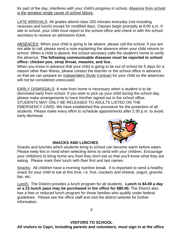for part of the day, interferes with your child's progress in school. Absence from school is the greatest single cause of school failure.

LATE ARRIVALS: All grades attend class 325 minutes everyday (not including recesses and lunch) except for modified days. Classes begin promptly at 8:00 a.m. If late to school, your child must report to the school office and check in with the school secretary to receive an admission ticket.

ABSENCES: When your child is going to be absent, please call the school. If you are not able to call, please send a note explaining the absence when your child returns to school. When a child is absent, the school secretary calls the student's home to verify the absence. **The following communicable diseases must be reported to school office: chicken pox, strep throat, measles, and lice.**

When you know in advance that your child is going to be out of school for 5 days for a reason other than illness, please contact the teacher or the school office in advance so that we can prepare an Independent Study Contract for your child so the absences will not be considered unexcused.

EARLY DISMISSALS: A note from home is necessary when a student is to be dismissed early from school. If you wish to pick up your child during the school day, please make arrangements to have him/her signed out in the school office. STUDENTS MAY ONLY BE RELEASED TO ADULTS LISTED ON THE EMERGENCY CARD. We have established this procedure for the protection of all students. Please make every effort to schedule appointments after 2:30 p.m. to avoid early dismissal.



#### **SNACKS AND LUNCHES**

Snacks and lunches which students bring to school can become warm before eaten. Please keep this in mind when selecting items to send with your children. Encourage your child(ren) to bring home any food they don't eat so that you'll know what they are eating. Please mark their lunch with their first and last names.

Snacks: All children have a morning nutrition break. It is important to send a healthy snack for your child to eat at this time, i.e. fruit, crackers and cheese, yogurt, granola bar, etc.

Lunch: The District provides a lunch program for all students. **Lunch is \$4.00 a day or a 21-lunch pass may be purchased in the office for \$80.00.** The District also has a free or reduced lunch program for those families who qualify under federal guidelines. Please see the office staff and visit the district website for further information.

*8*

### **VISITORS TO SCHOOL**

**All visitors to Capri, including parents and volunteers, must sign in at the office**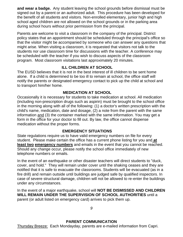**and wear a badge.** Any student leaving the school grounds before dismissal must be signed out by a parent or an authorized adult. This procedure has been developed for the benefit of all students and visitors. Non-enrolled elementary, junior high and high school aged children are not allowed on the school grounds or in the parking area during school hours without prior permission from the principal.

Parents are welcome to visit a classroom in the company of the principal. District policy states that an appointment should be scheduled through the principal's office so that the visitor might be accompanied by someone who can answer any questions that might arise. When visiting a classroom, it is requested that visitors not talk to the students nor use classroom time for discussions with the teacher. A conference may be scheduled with the teacher if you wish to discuss aspects of the classroom program. Most classroom visitations last approximately 20 minutes.

### **ILL CHILDREN AT SCHOOL**

The EUSD believes that it is not in the best interest of ill children to be sent home alone. If a child is determined to be too ill to remain at school, the office staff will notify the parents or designated emergency contact to pick up the child at school and to transport him/her home.

#### **MEDICATION AT SCHOOL**

Occasionally it is necessary for students to take medication at school. All medication (including non-prescription drugs such as aspirin) must be brought to the school office in the morning along with all of the following: (1) a doctor's written prescription with the child's name, medication, date and dosage, (2) a note from the parent with the same information and (3) the container marked with the same information. You may get a form in the office for your doctor to fill out. By law, the office cannot dispense medication without the proper forms.

### **EMERGENCY SITUATIONS**

State regulations require us to have valid emergency numbers on file for every student. Please make certain the office has a current phone listing for you and **at least two emergency numbers** and emails in the event that you cannot be reached. Should any change occur, please notify the school office immediately of new telephone numbers or emails.

In the event of an earthquake or other disaster teachers will direct students to "duck, cover, and hold." They will remain under cover until the shaking ceases and they are notified that it is safe to evacuate the classrooms. Students will be evacuated (as in a fire drill) and remain outside until buildings are judged safe by qualified inspectors. In case of severe structural damage, children will not be allowed to re-enter the buildings under any circumstances.

In the event of a major earthquake, school will **NOT BE DISMISSED AND CHILDREN WILL REMAIN UNDER THE SUPERVISION OF SCHOOL AUTHORITIES** until a parent (or adult listed on emergency card) arrives to pick them up.

*9*

#### **PARENT COMMUNICATION**

Thursday Breeze: Each Mondayday, parents are e-mailed information from Capri.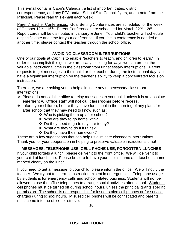This e-mail contains Capri's Calendar, a list of important dates, district correspondence, and any PTA and/or School Site Council flyers, and a note from the Principal. Pease read this e-mail each week.

Parent/Teacher Conferences: Goal Setting Conferences are scheduled for the week of October  $12^{th} - 16^{th}$ . Parent Conferences are scheduled for March  $22^{nd} - 26^{th}$ . Report cards will be distributed in January & June. Your child's teacher will schedule a specific date and time for your conference. If you feel a conference is needed at another time, please contact the teacher through the school office.

## **AVOIDING CLASSROOM INTERRUPTIONS**

One of our goals at Capri is to enable "teachers to teach, and children to learn." In order to accomplish this goal, we are always looking for ways we can protect the valuable instructional time in the classroom from unnecessary interruptions. Parent requests to get messages to their child or the teacher during the instructional day can have a significant interruption on the teacher's ability to keep a concentrated focus on instruction.

Therefore, we are asking you to help eliminate any unnecessary classroom interruptions.

- ❖ Please do not call the office to relay messages to your child unless it is an absolute **emergency. Office staff will not call classrooms before recess.**
- ❖ Inform your children, before they leave for school in the morning of any plans for after school that they may need to know such as:
	- ❖ Who is picking them up after school?
	- ❖ Who are they to go home with?
	- ❖ Do they need to go to daycare today?
	- ❖ What are they to do if it rains?
	- ❖ Do they have their homework?

These are a few suggestions that can help us eliminate classroom interruptions. Thank you for your cooperation in helping to preserve valuable instructional time!

# **MESSAGES, TELEPHONE USE, CELL PHONE USE, FORGOTTEN LUNCHES**

If your child forgets a lunch, please deliver it to the front office. We will deliver it to your child at lunchtime. Please be sure to have your child's name and teacher's name marked clearly on the lunch.

If you need to get a message to your child, please inform the office. We will notify the teacher. We try not to interrupt instruction except in emergencies. Telephone usage by students is for emergency calls and school related business. Students will not be allowed to use the office telephones to arrange social activities after school. Students' cell phones must be turned off during school hours, unless the principal grants specific permission. The school is not responsible for lost or stolen cell phones or for service charges during school hours. Misused cell phones will be confiscated and parents must come into the office to retrieve.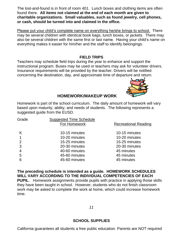The lost-and-found is in front of room 401. Lunch boxes and clothing items are often found there. **All items not claimed at the end of each month are given to charitable organizations. Small valuables, such as found jewelry, cell phones, or cash, should be turned into and claimed in the office.**

Please put your child's complete name on everything he/she brings to school. There may be several children with identical book bags, lunch boxes, or jackets. There may also be several children with the same first or last name. Having your child's name on everything makes it easier for him/her and the staff to identify belongings.

#### **FIELD TRIPS**

Teachers may schedule field trips during the year to enhance and support the instructional program. Buses may be used or teachers may ask for volunteer drivers. Insurance requirements will be provided by the teacher. Drivers will be notified concerning the destination, day, and approximate time of departure and return.



#### **HOMEWORK/MAKEUP WORK**

Homework is part of the school curriculum. The daily amount of homework will vary based upon maturity, ability, and needs of students. The following represents a suggested guide from the EUSD.

| Grade | <b>Suggested Time Schedule</b><br>For Homework | <b>Recreational Reading</b> |
|-------|------------------------------------------------|-----------------------------|
| K     | 10-15 minutes                                  | 10-15 minutes               |
|       | 10-20 minutes                                  | 10-20 minutes               |
| 2     | 15-25 minutes                                  | 15-25 minutes               |
| 3     | 20-30 minutes                                  | 20-30 minutes               |
| 4     | 40-60 minutes                                  | 45 minutes                  |
| 5     | 45-60 minutes                                  | 45 minutes                  |
| 6     | 45-60 minutes                                  | 45 minutes                  |
|       |                                                |                             |

**The preceding schedule is intended as a guide. HOMEWORK SCHEDULES WILL VARY ACCORDING TO THE INDIVIDUAL COMPETENCIES OF EACH PUPIL**. Homework assignments provide pupils with practice in applying those skills they have been taught in school. However, students who do not finish classroom work may be asked to complete the work at home, which could increase homework time.

*11*

#### **SCHOOL SUPPLIES**

California guarantees all students a free public education. Parents are NOT required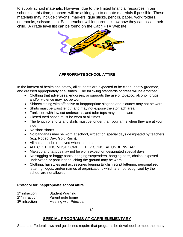to supply school materials. However, due to the limited financial resources in our schools at this time, teachers will be asking you to donate materials if possible. These materials may include crayons, markers, glue sticks, pencils, paper, work folders, notebooks, scissors, etc. Each teacher will let parents know how they can assist their child. A grade level list can be found on the Capri PTA Website.



#### **APPROPRIATE SCHOOL ATTIRE**

In the interest of health and safety, all students are expected to be clean, neatly groomed, and dressed appropriately at all times. The following standards of dress will be enforced:

- Clothing that advertises, endorses, or supports the use of tobacco, alcohol, drugs, and/or violence may not be worn.
- Shirts/clothing with offensive or inappropriate slogans and pictures may not be worn.
- Shirts must be waist length and may not expose the stomach area.
- Tank tops with low cut underarms, and tube tops may not be worn.
- Closed toed shoes must be worn at all times.
- The length of shorts and skirts must be longer than your arms when they are at your side.
- No short shorts.
- No bandanas may be worn at school, except on special days designated by teachers (e.g. Rodeo Day, Gold Rush).
- All hats must be removed when indoors.
- ALL CLOTHING MUST COMPLETELY CONCEAL UNDERWEAR.
- Makeup and tattoos may not be worn except on designated special days.
- No sagging or baggy pants, hanging suspenders, hanging belts, chains, exposed underwear, or pant legs touching the ground may be worn.
- Clothing, hairstyles and accessories bearing English script lettering, personalized lettering, logos, and/or names of organizations which are not recognized by the school are not allowed.

#### **Protocol for inappropriate school attire**

| 1 <sup>st</sup> infraction | <b>Student Warning</b>        |
|----------------------------|-------------------------------|
| $2nd$ infraction           | Parent note home              |
| 3 <sup>rd</sup> infraction | <b>Meeting with Principal</b> |

*12*

### **SPECIAL PROGRAMS AT CAPRI ELEMENTARY**

State and Federal laws and guidelines require that programs be developed to meet the many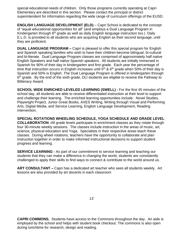special educational needs of children. Only those programs currently operating at Capri Elementary are described in this section. Please contact the principal or district superintendent for information regarding the wide range of curriculum offerings of the EUSD.

**ENGLISH LANGUAGE DEVELOPMENT (ELD)** – Capri School is dedicated to the concept of "equal educational opportunities for all" (and employs a Dual Language Program in Kindergarten through 6<sup>th</sup> grade as well as daily English language instruction too.) Daily E.L.D. is provided to all students who are acquiring English as their second language, until they are proficient.

**DUAL LANGUAGE PROGRAM –** Capri is pleased to offer this special program for English and Spanish speaking families who wish to have their children become bilingual, bi-cultural and bi-literate. Dual Language Program classes are comprised of approximately half native English Speakers and half native Spanish speakers. All students are initially immersed in Spanish for 90% of their day in kindergarten and first grade. Each year the percentage of time that instruction occurs in English increases until  $5<sup>th</sup>$  &  $6<sup>th</sup>$  grade when 50% of their day is Spanish and 50% is English. The Dual Language Program is offered in kindergarten through 6<sup>th</sup> grade. By the end of the sixth grade, DLI students are eligible to receive the Pathway to Biliteracy Award.

**SCHOOL WIDE ENRICHED LEVELED LEARNING (SWELL) -** For the first 45 minutes of the school day, all students are able to receive differentiated instruction at their level to support and challenge their learning. The enriched learning opportunities include: Novel Studies, Playwright Project, Junior Great Books, AXES Writing, Writing through Visual and Performing Arts, Digital Media, and Service Learning, English Language Development, Reading intervention.

**SPECIAL ROTATIONS WHEELING SCHEDULE, YOGA SCHEDULE AND GRADE LEVEL COLLABORATION -**All grade levels participate in enrichment classes as they rotate through four 30-minute weekly sessions. The classes include instruction in the areas of music, art, science, physical education and Yoga. Specialists in their respective areas teach these classes. During wheel rotations, teachers have the opportunity to collaborate and plan instruction together in order to make informed instructional decisions to support student progress and learning.

**SERVICE LEARNING -** As part of our commitment to service learning and teaching our students that they can make a difference in changing the world, students are consistently challenged to apply their skills to find ways to connect & contribute to the world around us.

**ART CONSULTANT –** Capri has a dedicated art teacher who sees all students weekly. Art lessons are also provided by art docents in each classroom

**CAPRI COMMONS.** Students have access to the Commons throughout the day. An aide is employed by the school and helps with student book checkout. The commons is also open during lunchtime for research, design and reading.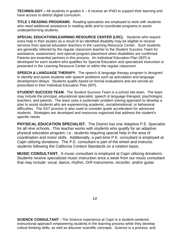**TECHNOLOGY –** All students in grades K – 6 receive an iPAD to support their learning and have access to district digital curriculum.

**TITLE 1 READING PROGRAMS.** Reading specialists are employed to work with students who need additional assistance in reading skills and to coordinate programs to assist underperforming students.

**SPECIAL EDUCATION/LEARNING RESOURCE CENTER (LRC).** Students who require extra help in their studies as a result of an identified disability may be eligible to receive services from special education teachers in the Learning Resource Center. Such students are generally referred by the regular classroom teacher to the Student Success Team for assistance, assessment, and special program placement when disabilities are confirmed. Parents are essential partners in this process. An Individual Education Plan (IEP) is developed for each student who qualifies for Special Education and specialized instruction is presented in the Learning Resource Center or within the regular classroom.

**SPEECH & LANGUAGE THERAPY.** The speech & language therapy program is designed to identify and assist students with speech problems such as articulation and language development delays. Students qualify based on formal evaluations and are served as prescribed in their Individual Education Plan (IEP).

**STUDENT SUCCESS TEAM.** The Student Success Team is a school site team. The team may include the principal, educational specialist, speech & language therapist, psychologist, teachers, and parents. The team uses a systematic problem solving approach to develop a plan to assist students who are experiencing academic, social/emotional, or behavioral difficulties. The SST process is also used to consider grade acceleration for advanced students. Strategies are developed and resources organized that address the student's specific needs

**PHYSICAL EDUCATION SPECIALIST.** The District has one Adaptive P.E. Specialist for all nine schools. This teacher works with students who qualify for an adaptive physical education program; i.e., students requiring special help in the area of coordination and motor skills. Additionally, a part-time P.E. consultant is employed at Capri utilizing donations. The P.E. consultant is part of the wheel and instructs students following the California Content Standards on a rotation basis.

**MUSIC CONSULTANT.** A music consultant is employed at Capri utilizing donations. Students receive specialized music instruction once a week from our music consultant that may include: vocal, dance, rhythm, Orff instruments, recorder, and/or guitar.

**SCIENCE CONSULTANT -** The Science experience at Capri is a student-centered, instructional approach empowering students in the learning process while they develop critical thinking skills, as well as discover scientific concepts. Science is a process, and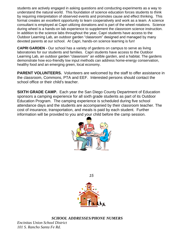students are actively engaged in asking questions and conducting experiments as a way to understand the natural world. This foundation of science education forces students to think by requiring interpretation of observed events and promotes cause and effect thinking. This format creates an excellent opportunity to learn cooperatively and work as a team. A science consultant is employed at Capri utilizing donations and is part of the wheel rotations. Science during wheel is a hands-on lab experience to supplement the classroom science instruction. In addition to the science labs throughout the year, Capri students have access to the Outdoor Learning Lab, an outdoor garden "classroom" designed and managed by many devoted parents at our school. At Capri, hands-on science learning is fun!

**CAPRI GARDEN -** Our school has a variety of gardens on campus to serve as living laboratories for our students and families. Capri students have access to the Outdoor Learning Lab, an outdoor garden "classroom" an edible garden, and a habitat. The gardens demonstrate how eco-friendly low input methods can address home-energy conservation, healthy food and an emerging green, local economy.

**PARENT VOLUNTEERS.** Volunteers are welcomed by the staff to offer assistance in the classroom, Commons, PTA and EEF. Interested persons should contact the school office or their child's teacher.

**SIXTH GRADE CAMP.** Each year the San Diego County Department of Education sponsors a camping experience for all sixth grade students as part of its Outdoor Education Program. The camping experience is scheduled during five school attendance days and the students are accompanied by their classroom teacher. The cost of insurance, transportation, and meals is paid by each student. Further information will be provided to you and your child before the camp session.



*15*



*SCHOOL ADDRESSES/PHONE NUMERS*

*Encinitas Union School District 101 S. Rancho Santa Fe Rd.*